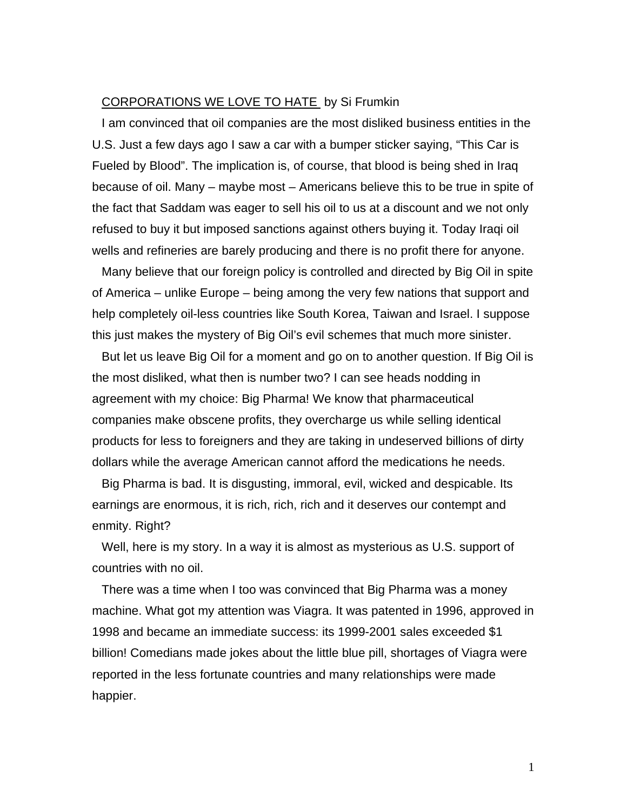## CORPORATIONS WE LOVE TO HATE by Si Frumkin

I am convinced that oil companies are the most disliked business entities in the U.S. Just a few days ago I saw a car with a bumper sticker saying, "This Car is Fueled by Blood". The implication is, of course, that blood is being shed in Iraq because of oil. Many – maybe most – Americans believe this to be true in spite of the fact that Saddam was eager to sell his oil to us at a discount and we not only refused to buy it but imposed sanctions against others buying it. Today Iraqi oil wells and refineries are barely producing and there is no profit there for anyone.

Many believe that our foreign policy is controlled and directed by Big Oil in spite of America – unlike Europe – being among the very few nations that support and help completely oil-less countries like South Korea, Taiwan and Israel. I suppose this just makes the mystery of Big Oil's evil schemes that much more sinister.

But let us leave Big Oil for a moment and go on to another question. If Big Oil is the most disliked, what then is number two? I can see heads nodding in agreement with my choice: Big Pharma! We know that pharmaceutical companies make obscene profits, they overcharge us while selling identical products for less to foreigners and they are taking in undeserved billions of dirty dollars while the average American cannot afford the medications he needs.

Big Pharma is bad. It is disgusting, immoral, evil, wicked and despicable. Its earnings are enormous, it is rich, rich, rich and it deserves our contempt and enmity. Right?

Well, here is my story. In a way it is almost as mysterious as U.S. support of countries with no oil.

There was a time when I too was convinced that Big Pharma was a money machine. What got my attention was Viagra. It was patented in 1996, approved in 1998 and became an immediate success: its 1999-2001 sales exceeded \$1 billion! Comedians made jokes about the little blue pill, shortages of Viagra were reported in the less fortunate countries and many relationships were made happier.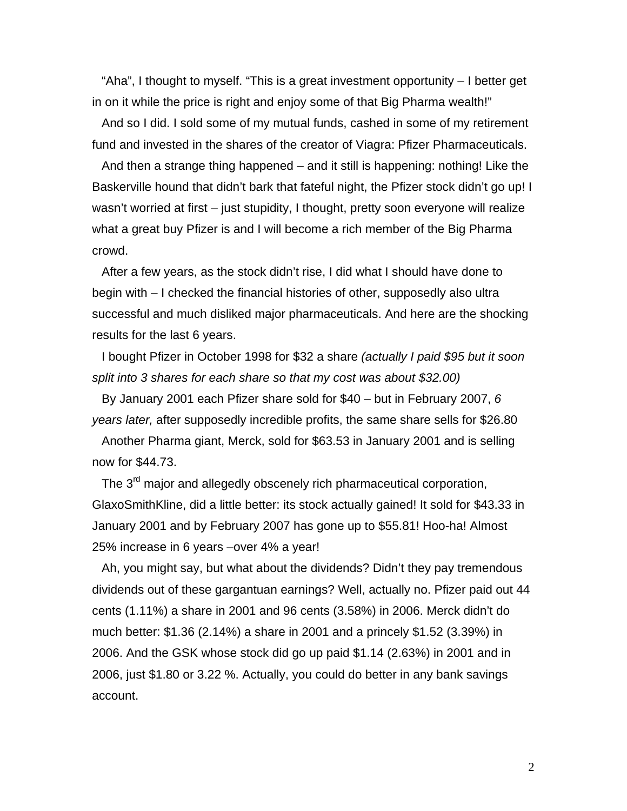"Aha", I thought to myself. "This is a great investment opportunity – I better get in on it while the price is right and enjoy some of that Big Pharma wealth!"

And so I did. I sold some of my mutual funds, cashed in some of my retirement fund and invested in the shares of the creator of Viagra: Pfizer Pharmaceuticals.

And then a strange thing happened – and it still is happening: nothing! Like the Baskerville hound that didn't bark that fateful night, the Pfizer stock didn't go up! I wasn't worried at first – just stupidity, I thought, pretty soon everyone will realize what a great buy Pfizer is and I will become a rich member of the Big Pharma crowd.

After a few years, as the stock didn't rise, I did what I should have done to begin with – I checked the financial histories of other, supposedly also ultra successful and much disliked major pharmaceuticals. And here are the shocking results for the last 6 years.

I bought Pfizer in October 1998 for \$32 a share *(actually I paid \$95 but it soon split into 3 shares for each share so that my cost was about \$32.00)* 

By January 2001 each Pfizer share sold for \$40 – but in February 2007, *6 years later,* after supposedly incredible profits, the same share sells for \$26.80

Another Pharma giant, Merck, sold for \$63.53 in January 2001 and is selling now for \$44.73.

The 3<sup>rd</sup> major and allegedly obscenely rich pharmaceutical corporation, GlaxoSmithKline, did a little better: its stock actually gained! It sold for \$43.33 in January 2001 and by February 2007 has gone up to \$55.81! Hoo-ha! Almost 25% increase in 6 years –over 4% a year!

Ah, you might say, but what about the dividends? Didn't they pay tremendous dividends out of these gargantuan earnings? Well, actually no. Pfizer paid out 44 cents (1.11%) a share in 2001 and 96 cents (3.58%) in 2006. Merck didn't do much better: \$1.36 (2.14%) a share in 2001 and a princely \$1.52 (3.39%) in 2006. And the GSK whose stock did go up paid \$1.14 (2.63%) in 2001 and in 2006, just \$1.80 or 3.22 %. Actually, you could do better in any bank savings account.